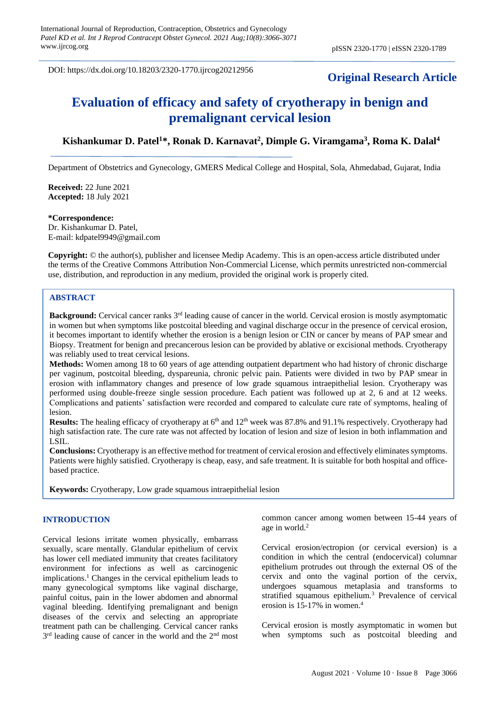DOI: https://dx.doi.org/10.18203/2320-1770.ijrcog20212956

# **Original Research Article**

# **Evaluation of efficacy and safety of cryotherapy in benign and premalignant cervical lesion**

# **Kishankumar D. Patel<sup>1</sup>\*, Ronak D. Karnavat<sup>2</sup> , Dimple G. Viramgama<sup>3</sup> , Roma K. Dalal<sup>4</sup>**

Department of Obstetrics and Gynecology, GMERS Medical College and Hospital, Sola, Ahmedabad, Gujarat, India

**Received:** 22 June 2021 **Accepted:** 18 July 2021

#### **\*Correspondence:**

Dr. Kishankumar D. Patel, E-mail: kdpatel9949@gmail.com

**Copyright:** © the author(s), publisher and licensee Medip Academy. This is an open-access article distributed under the terms of the Creative Commons Attribution Non-Commercial License, which permits unrestricted non-commercial use, distribution, and reproduction in any medium, provided the original work is properly cited.

### **ABSTRACT**

**Background:** Cervical cancer ranks 3rd leading cause of cancer in the world. Cervical erosion is mostly asymptomatic in women but when symptoms like postcoital bleeding and vaginal discharge occur in the presence of cervical erosion, it becomes important to identify whether the erosion is a benign lesion or CIN or cancer by means of PAP smear and Biopsy. Treatment for benign and precancerous lesion can be provided by ablative or excisional methods. Cryotherapy was reliably used to treat cervical lesions.

**Methods:** Women among 18 to 60 years of age attending outpatient department who had history of chronic discharge per vaginum, postcoital bleeding, dyspareunia, chronic pelvic pain. Patients were divided in two by PAP smear in erosion with inflammatory changes and presence of low grade squamous intraepithelial lesion. Cryotherapy was performed using double-freeze single session procedure. Each patient was followed up at 2, 6 and at 12 weeks. Complications and patients' satisfaction were recorded and compared to calculate cure rate of symptoms, healing of lesion.

**Results:** The healing efficacy of cryotherapy at 6<sup>th</sup> and 12<sup>th</sup> week was 87.8% and 91.1% respectively. Cryotherapy had high satisfaction rate. The cure rate was not affected by location of lesion and size of lesion in both inflammation and LSIL.

**Conclusions:** Cryotherapy is an effective method for treatment of cervical erosion and effectively eliminates symptoms. Patients were highly satisfied. Cryotherapy is cheap, easy, and safe treatment. It is suitable for both hospital and officebased practice.

**Keywords:** Cryotherapy, Low grade squamous intraepithelial lesion

# **INTRODUCTION**

Cervical lesions irritate women physically, embarrass sexually, scare mentally. Glandular epithelium of cervix has lower cell mediated immunity that creates facilitatory environment for infections as well as carcinogenic implications.<sup>1</sup> Changes in the cervical epithelium leads to many gynecological symptoms like vaginal discharge, painful coitus, pain in the lower abdomen and abnormal vaginal bleeding. Identifying premalignant and benign diseases of the cervix and selecting an appropriate treatment path can be challenging. Cervical cancer ranks 3<sup>rd</sup> leading cause of cancer in the world and the 2<sup>nd</sup> most common cancer among women between 15-44 years of age in world.<sup>2</sup>

Cervical erosion/ectropion (or cervical eversion) is a condition in which the central (endocervical) columnar epithelium protrudes out through the external OS of the cervix and onto the vaginal portion of the cervix, undergoes squamous metaplasia and transforms to stratified squamous epithelium.<sup>3</sup> Prevalence of cervical erosion is 15-17% in women.<sup>4</sup>

Cervical erosion is mostly asymptomatic in women but when symptoms such as postcoital bleeding and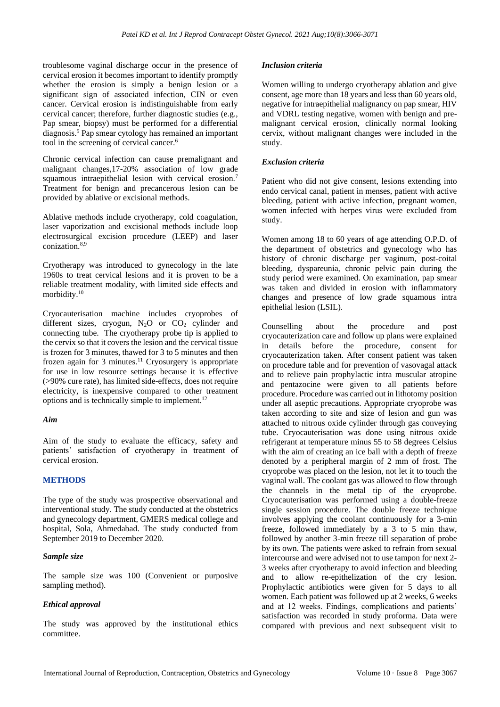troublesome vaginal discharge occur in the presence of cervical erosion it becomes important to identify promptly whether the erosion is simply a benign lesion or a significant sign of associated infection, CIN or even cancer. Cervical erosion is indistinguishable from early cervical cancer; therefore, further diagnostic studies (e.g., Pap smear, biopsy) must be performed for a differential diagnosis.<sup>5</sup> Pap smear cytology has remained an important tool in the screening of cervical cancer.<sup>6</sup>

Chronic cervical infection can cause premalignant and malignant changes,17-20% association of low grade squamous intraepithelial lesion with cervical erosion.<sup>7</sup> Treatment for benign and precancerous lesion can be provided by ablative or excisional methods.

Ablative methods include cryotherapy, cold coagulation, laser vaporization and excisional methods include loop electrosurgical excision procedure (LEEP) and laser conization.8,9

Cryotherapy was introduced to gynecology in the late 1960s to treat cervical lesions and it is proven to be a reliable treatment modality, with limited side effects and morbidity.<sup>10</sup>

Cryocauterisation machine includes cryoprobes of different sizes, cryogun,  $N_2O$  or  $CO_2$  cylinder and connecting tube. The cryotherapy probe tip is applied to the cervix so that it covers the lesion and the cervical tissue is frozen for 3 minutes, thawed for 3 to 5 minutes and then frozen again for 3 minutes.<sup>11</sup> Cryosurgery is appropriate for use in low resource settings because it is effective (>90% cure rate), has limited side-effects, does not require electricity, is inexpensive compared to other treatment options and is technically simple to implement.<sup>12</sup>

#### *Aim*

Aim of the study to evaluate the efficacy, safety and patients' satisfaction of cryotherapy in treatment of cervical erosion.

# **METHODS**

The type of the study was prospective observational and interventional study. The study conducted at the obstetrics and gynecology department, GMERS medical college and hospital, Sola, Ahmedabad. The study conducted from September 2019 to December 2020.

#### *Sample size*

The sample size was 100 (Convenient or purposive sampling method).

# *Ethical approval*

The study was approved by the institutional ethics committee.

#### *Inclusion criteria*

Women willing to undergo cryotherapy ablation and give consent, age more than 18 years and less than 60 years old, negative for intraepithelial malignancy on pap smear, HIV and VDRL testing negative, women with benign and premalignant cervical erosion, clinically normal looking cervix, without malignant changes were included in the study.

#### *Exclusion criteria*

Patient who did not give consent, lesions extending into endo cervical canal, patient in menses, patient with active bleeding, patient with active infection, pregnant women, women infected with herpes virus were excluded from study.

Women among 18 to 60 years of age attending O.P.D. of the department of obstetrics and gynecology who has history of chronic discharge per vaginum, post-coital bleeding, dyspareunia, chronic pelvic pain during the study period were examined. On examination, pap smear was taken and divided in erosion with inflammatory changes and presence of low grade squamous intra epithelial lesion (LSIL).

Counselling about the procedure and post cryocauterization care and follow up plans were explained in details before the procedure, consent for cryocauterization taken. After consent patient was taken on procedure table and for prevention of vasovagal attack and to relieve pain prophylactic intra muscular atropine and pentazocine were given to all patients before procedure. Procedure was carried out in lithotomy position under all aseptic precautions. Appropriate cryoprobe was taken according to site and size of lesion and gun was attached to nitrous oxide cylinder through gas conveying tube. Cryocauterisation was done using nitrous oxide refrigerant at temperature minus 55 to 58 degrees Celsius with the aim of creating an ice ball with a depth of freeze denoted by a peripheral margin of 2 mm of frost. The cryoprobe was placed on the lesion, not let it to touch the vaginal wall. The coolant gas was allowed to flow through the channels in the metal tip of the cryoprobe. Cryocauterisation was performed using a double-freeze single session procedure. The double freeze technique involves applying the coolant continuously for a 3-min freeze, followed immediately by a 3 to 5 min thaw, followed by another 3-min freeze till separation of probe by its own. The patients were asked to refrain from sexual intercourse and were advised not to use tampon for next 2- 3 weeks after cryotherapy to avoid infection and bleeding and to allow re-epithelization of the cry lesion. Prophylactic antibiotics were given for 5 days to all women. Each patient was followed up at 2 weeks, 6 weeks and at 12 weeks. Findings, complications and patients' satisfaction was recorded in study proforma. Data were compared with previous and next subsequent visit to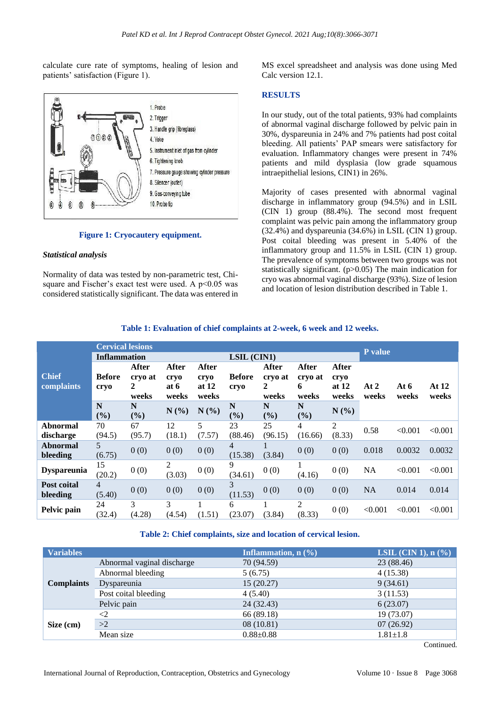calculate cure rate of symptoms, healing of lesion and patients' satisfaction (Figure 1).



#### **Figure 1: Cryocautery equipment.**

#### *Statistical analysis*

Normality of data was tested by non-parametric test, Chisquare and Fischer's exact test were used. A  $p<0.05$  was considered statistically significant. The data was entered in MS excel spreadsheet and analysis was done using Med Calc version 12.1.

#### **RESULTS**

In our study, out of the total patients, 93% had complaints of abnormal vaginal discharge followed by pelvic pain in 30%, dyspareunia in 24% and 7% patients had post coital bleeding. All patients' PAP smears were satisfactory for evaluation. Inflammatory changes were present in 74% patients and mild dysplasia (low grade squamous intraepithelial lesions, CIN1) in 26%.

Majority of cases presented with abnormal vaginal discharge in inflammatory group (94.5%) and in LSIL (CIN 1) group (88.4%). The second most frequent complaint was pelvic pain among the inflammatory group (32.4%) and dyspareunia (34.6%) in LSIL (CIN 1) group. Post coital bleeding was present in 5.40% of the inflammatory group and 11.5% in LSIL (CIN 1) group. The prevalence of symptoms between two groups was not statistically significant. (p>0.05) The main indication for cryo was abnormal vaginal discharge (93%). Size of lesion and location of lesion distribution described in Table 1.

|                            | <b>Cervical lesions</b><br><b>Inflammation</b> |                                |                                |                                   | LSIL (CIN1)               |                                |                                       |                                   | P value       |                 |                |
|----------------------------|------------------------------------------------|--------------------------------|--------------------------------|-----------------------------------|---------------------------|--------------------------------|---------------------------------------|-----------------------------------|---------------|-----------------|----------------|
| <b>Chief</b><br>complaints | <b>Before</b><br>cryo                          | After<br>cryo at<br>2<br>weeks | After<br>cryo<br>at 6<br>weeks | After<br>cryo<br>at $12$<br>weeks | <b>Before</b><br>cryo     | After<br>cryo at<br>2<br>weeks | <b>After</b><br>cryo at<br>6<br>weeks | After<br>cryo<br>at $12$<br>weeks | At 2<br>weeks | At $6$<br>weeks | At 12<br>weeks |
|                            | N<br>(%)                                       | N<br>(%)                       | N(%)                           | N(%)                              | N<br>(%)                  | N<br>(%)                       | N<br>(%)                              | $N(\%)$                           |               |                 |                |
| Abnormal<br>discharge      | 70<br>(94.5)                                   | 67<br>(95.7)                   | 12<br>(18.1)                   | 5<br>(7.57)                       | 23<br>(88.46)             | 25<br>(96.15)                  | $\overline{4}$<br>(16.66)             | $\overline{2}$<br>(8.33)          | 0.58          | < 0.001         | < 0.001        |
| Abnormal<br>bleeding       | 5<br>(6.75)                                    | 0(0)                           | 0(0)                           | 0(0)                              | $\overline{4}$<br>(15.38) | (3.84)                         | 0(0)                                  | 0(0)                              | 0.018         | 0.0032          | 0.0032         |
| <b>Dyspareunia</b>         | 15<br>(20.2)                                   | 0(0)                           | 2<br>(3.03)                    | 0(0)                              | 9<br>(34.61)              | 0(0)                           | $\bf{l}$<br>(4.16)                    | 0(0)                              | <b>NA</b>     | < 0.001         | < 0.001        |
| Post coital<br>bleeding    | 4<br>(5.40)                                    | 0(0)                           | 0(0)                           | 0(0)                              | 3<br>(11.53)              | 0(0)                           | 0(0)                                  | 0(0)                              | <b>NA</b>     | 0.014           | 0.014          |
| Pelvic pain                | 24<br>(32.4)                                   | 3<br>(4.28)                    | 3<br>(4.54)                    | (1.51)                            | 6<br>(23.07)              | (3.84)                         | 2<br>(8.33)                           | 0(0)                              | < 0.001       | < 0.001         | < 0.001        |

# **Table 1: Evaluation of chief complaints at 2-week, 6 week and 12 weeks.**

#### **Table 2: Chief complaints, size and location of cervical lesion.**

| <b>Variables</b>  |                            | Inflammation, $n$ $(\%)$ | LSIL $(CIN 1)$ , n $(\% )$ |  |  |
|-------------------|----------------------------|--------------------------|----------------------------|--|--|
| <b>Complaints</b> | Abnormal vaginal discharge | 70 (94.59)               | 23 (88.46)                 |  |  |
|                   | Abnormal bleeding          | 5(6.75)                  | 4(15.38)                   |  |  |
|                   | Dyspareunia                | 15(20.27)                | 9(34.61)                   |  |  |
|                   | Post coital bleeding       | 4(5.40)                  | 3(11.53)                   |  |  |
|                   | Pelvic pain                | 24 (32.43)               | 6(23.07)                   |  |  |
|                   | $\leq$                     | 66 (89.18)               | 19 (73.07)                 |  |  |
| Size (cm)         | >2                         | 08(10.81)                | 07(26.92)                  |  |  |
|                   | Mean size                  | $0.88 + 0.88$            | $1.81 \pm 1.8$             |  |  |

Continued.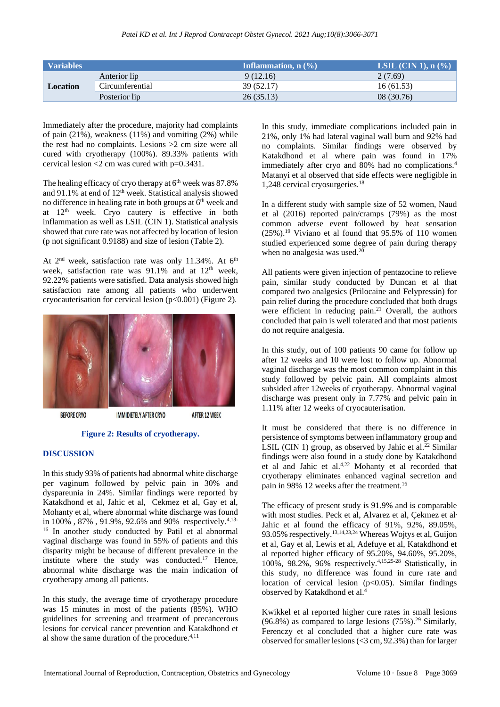| <b>Variables</b> |                 | Inflammation, $n$ $(\%)$ | <b>LSIL</b> (CIN 1), $n$ (%) |  |  |
|------------------|-----------------|--------------------------|------------------------------|--|--|
| Location         | Anterior lip    | 9(12.16)                 | 2(7.69)                      |  |  |
|                  | Circumferential | 39 (52.17)               | 16(61.53)                    |  |  |
|                  | Posterior lip   | 26(35.13)                | 08(30.76)                    |  |  |

Immediately after the procedure, majority had complaints of pain  $(21\%)$ , weakness  $(11\%)$  and vomiting  $(2\%)$  while the rest had no complaints. Lesions >2 cm size were all cured with cryotherapy (100%). 89.33% patients with cervical lesion  $\leq$  2 cm was cured with p=0.3431.

The healing efficacy of cryo therapy at  $6<sup>th</sup>$  week was 87.8% and 91.1% at end of 12<sup>th</sup> week. Statistical analysis showed no difference in healing rate in both groups at  $6<sup>th</sup>$  week and at 12<sup>th</sup> week. Cryo cautery is effective in both inflammation as well as LSIL (CIN 1). Statistical analysis showed that cure rate was not affected by location of lesion (p not significant 0.9188) and size of lesion (Table 2).

At  $2<sup>nd</sup>$  week, satisfaction rate was only 11.34%. At  $6<sup>th</sup>$ week, satisfaction rate was  $91.1\%$  and at  $12<sup>th</sup>$  week, 92.22% patients were satisfied. Data analysis showed high satisfaction rate among all patients who underwent cryocauterisation for cervical lesion (p<0.001) (Figure 2).



**BEFORE CRYO** 

**IMMIDIETELY AFTER CRYO AFTER 12 WEEK** 

# **Figure 2: Results of cryotherapy.**

#### **DISCUSSION**

In this study 93% of patients had abnormal white discharge per vaginum followed by pelvic pain in 30% and dyspareunia in 24%. Similar findings were reported by Katakdhond et al, Jahic et al, Cekmez et al, Gay et al, Mohanty et al, where abnormal white discharge was found in 100%, 87%, 91.9%, 92.6% and 90% respectively.<sup>4,13-</sup> <sup>16</sup> In another study conducted by Patil et al abnormal vaginal discharge was found in 55% of patients and this disparity might be because of different prevalence in the institute where the study was conducted.<sup>17</sup> Hence, abnormal white discharge was the main indication of cryotherapy among all patients.

In this study, the average time of cryotherapy procedure was 15 minutes in most of the patients (85%). WHO guidelines for screening and treatment of precancerous lesions for cervical cancer prevention and Katakdhond et al show the same duration of the procedure.4,11

In this study, immediate complications included pain in 21%, only 1% had lateral vaginal wall burn and 92% had no complaints. Similar findings were observed by Katakdhond et al where pain was found in 17% immediately after cryo and 80% had no complications.<sup>4</sup> Matanyi et al observed that side effects were negligible in 1,248 cervical cryosurgeries.<sup>18</sup>

In a different study with sample size of 52 women, Naud et al (2016) reported pain/cramps (79%) as the most common adverse event followed by heat sensation  $(25\%)$ .<sup>19</sup> Viviano et al found that 95.5% of 110 women studied experienced some degree of pain during therapy when no analgesia was used. $20$ 

All patients were given injection of pentazocine to relieve pain, similar study conducted by Duncan et al that compared two analgesics (Prilocaine and Felypressin) for pain relief during the procedure concluded that both drugs were efficient in reducing pain. $21$  Overall, the authors concluded that pain is well tolerated and that most patients do not require analgesia.

In this study, out of 100 patients 90 came for follow up after 12 weeks and 10 were lost to follow up. Abnormal vaginal discharge was the most common complaint in this study followed by pelvic pain. All complaints almost subsided after 12weeks of cryotherapy. Abnormal vaginal discharge was present only in 7.77% and pelvic pain in 1.11% after 12 weeks of cryocauterisation.

It must be considered that there is no difference in persistence of symptoms between inflammatory group and LSIL (CIN 1) group, as observed by Jahic et al.<sup>22</sup> Similar findings were also found in a study done by Katakdhond et al and Jahic et al.4,22 Mohanty et al recorded that cryotherapy eliminates enhanced vaginal secretion and pain in 98% 12 weeks after the treatment.<sup>16</sup>

The efficacy of present study is 91.9% and is comparable with most studies. Peck et al, Alvarez et al, Çekmez et al, Jahic et al found the efficacy of 91%, 92%, 89.05%, 93.05% respectively.13,14,23,24 Whereas Wojtys et al, Guijon et al, Gay et al, Lewis et al, Adefuye et al, Katakdhond et al reported higher efficacy of 95.20%, 94.60%, 95.20%, 100%, 98.2%, 96% respectively.4,15,25-28 Statistically, in this study, no difference was found in cure rate and location of cervical lesion (p<0.05). Similar findings observed by Katakdhond et al.<sup>4</sup>

Kwikkel et al reported higher cure rates in small lesions  $(96.8\%)$  as compared to large lesions  $(75\%)$ .<sup>29</sup> Similarly, Ferenczy et al concluded that a higher cure rate was observed for smaller lesions (<3 cm, 92.3%) than for larger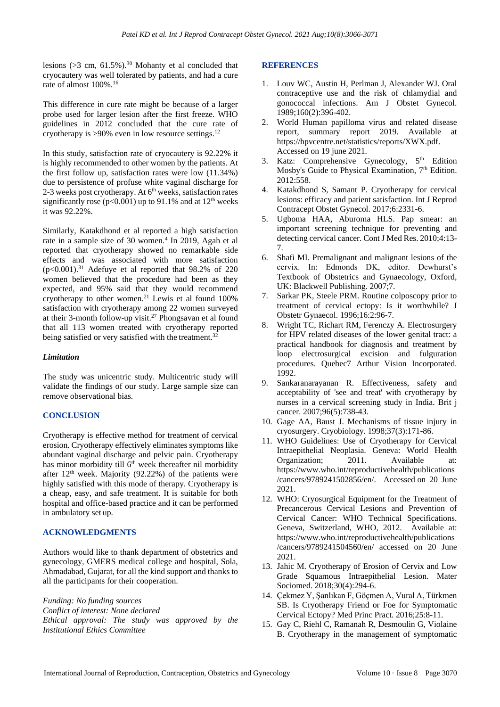lesions ( $>3$  cm, 61.5%).<sup>30</sup> Mohanty et al concluded that cryocautery was well tolerated by patients, and had a cure rate of almost 100%.<sup>16</sup>

This difference in cure rate might be because of a larger probe used for larger lesion after the first freeze. WHO guidelines in 2012 concluded that the cure rate of cryotherapy is  $>90\%$  even in low resource settings.<sup>12</sup>

In this study, satisfaction rate of cryocautery is 92.22% it is highly recommended to other women by the patients. At the first follow up, satisfaction rates were low (11.34%) due to persistence of profuse white vaginal discharge for 2-3 weeks post cryotherapy. At  $6<sup>th</sup>$  weeks, satisfaction rates significantly rose ( $p<0.001$ ) up to 91.1% and at 12<sup>th</sup> weeks it was 92.22%.

Similarly, Katakdhond et al reported a high satisfaction rate in a sample size of 30 women.<sup>4</sup> In 2019, Agah et al reported that cryotherapy showed no remarkable side effects and was associated with more satisfaction  $(p<0.001)$ .<sup>31</sup> Adefuye et al reported that 98.2% of 220 women believed that the procedure had been as they expected, and 95% said that they would recommend cryotherapy to other women.<sup>21</sup> Lewis et al found 100% satisfaction with cryotherapy among 22 women surveyed at their 3-month follow-up visit.<sup>27</sup> Phongsavan et al found that all 113 women treated with cryotherapy reported being satisfied or very satisfied with the treatment.<sup>32</sup>

# *Limitation*

The study was unicentric study. Multicentric study will validate the findings of our study. Large sample size can remove observational bias.

# **CONCLUSION**

Cryotherapy is effective method for treatment of cervical erosion. Cryotherapy effectively eliminates symptoms like abundant vaginal discharge and pelvic pain. Cryotherapy has minor morbidity till 6<sup>th</sup> week thereafter nil morbidity after  $12<sup>th</sup>$  week. Majority (92.22%) of the patients were highly satisfied with this mode of therapy. Cryotherapy is a cheap, easy, and safe treatment. It is suitable for both hospital and office-based practice and it can be performed in ambulatory set up.

# **ACKNOWLEDGMENTS**

Authors would like to thank department of obstetrics and gynecology, GMERS medical college and hospital, Sola, Ahmadabad, Gujarat, for all the kind support and thanks to all the participants for their cooperation.

*Funding: No funding sources Conflict of interest: None declared Ethical approval: The study was approved by the Institutional Ethics Committee*

# **REFERENCES**

- 1. Louv WC, Austin H, Perlman J, Alexander WJ. Oral contraceptive use and the risk of chlamydial and gonococcal infections. Am J Obstet Gynecol. 1989;160(2):396-402.
- 2. World Human papilloma virus and related disease report, summary report 2019. Available https://hpvcentre.net/statistics/reports/XWX.pdf. Accessed on 19 june 2021.
- 3. Katz: Comprehensive Gynecology, 5<sup>th</sup> Edition Mosby's Guide to Physical Examination,  $7<sup>th</sup>$  Edition. 2012:558.
- 4. Katakdhond S, Samant P. Cryotherapy for cervical lesions: efficacy and patient satisfaction. Int J Reprod Contracept Obstet Gynecol. 2017;6:2331-6.
- 5. Ugboma HAA, Aburoma HLS. Pap smear: an important screening technique for preventing and detecting cervical cancer. Cont J Med Res. 2010;4:13- 7.
- 6. Shafi MI. Premalignant and malignant lesions of the cervix. In: Edmonds DK, editor. Dewhurst's Textbook of Obstetrics and Gynaecology, Oxford, UK: Blackwell Publishing. 2007;7.
- 7. Sarkar PK, Steele PRM. Routine colposcopy prior to treatment of cervical ectopy: Is it worthwhile? J Obstetr Gynaecol. 1996;16:2:96-7.
- 8. Wright TC, Richart RM, Ferenczy A. Electrosurgery for HPV related diseases of the lower genital tract: a practical handbook for diagnosis and treatment by loop electrosurgical excision and fulguration procedures. Quebec7 Arthur Vision Incorporated. 1992.
- 9. Sankaranarayanan R. Effectiveness, safety and acceptability of 'see and treat' with cryotherapy by nurses in a cervical screening study in India. Brit j cancer. 2007;96(5):738-43.
- 10. Gage AA, Baust J. Mechanisms of tissue injury in cryosurgery. Cryobiology. 1998;37(3):171-86.
- 11. WHO Guidelines: Use of Cryotherapy for Cervical Intraepithelial Neoplasia. Geneva: World Health Organization; 2011. Available at: https://www.who.int/reproductivehealth/publications /cancers/9789241502856/en/. Accessed on 20 June 2021.
- 12. WHO: Cryosurgical Equipment for the Treatment of Precancerous Cervical Lesions and Prevention of Cervical Cancer: WHO Technical Specifications. Geneva, Switzerland, WHO, 2012. Available at: https://www.who.int/reproductivehealth/publications /cancers/9789241504560/en/ accessed on 20 June 2021.
- 13. Jahic M. Cryotherapy of Erosion of Cervix and Low Grade Squamous Intraepithelial Lesion. Mater Sociomed. 2018;30(4):294-6.
- 14. Çekmez Y, Şanlıkan F, Göçmen A, Vural A, Türkmen SB. Is Cryotherapy Friend or Foe for Symptomatic Cervical Ectopy? Med Princ Pract. 2016;25:8-11.
- 15. Gay C, Riehl C, Ramanah R, Desmoulin G, Violaine B. Cryotherapy in the management of symptomatic